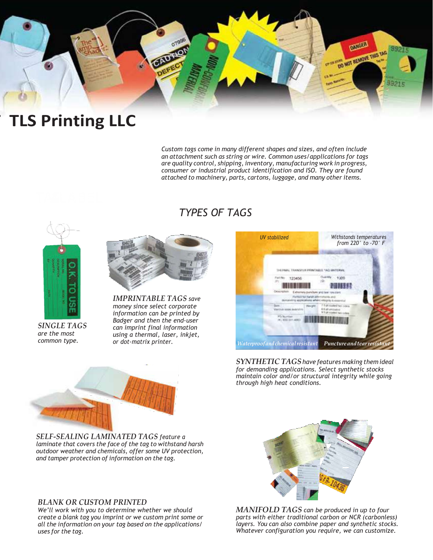

# **TLS Printing LLC**

Custom tags come in many different shapes and sizes, and often include an attachment such as string or wire. Common uses/applications for tags are quality control, shipping, inventory, manufacturing work in progress, consumer or industrial product identification and ISO. They are found attached to machinery, parts, cartons, luggage, and many other items.



are the most common type.



SINGLE TAGS can imprint final information IMPRINTABLE TAGS save money since select corporate information can be printed by Badger and then the end-user using a thermal, laser, inkjet, or dot-matrix printer.



SYNTHETIC TAGS have features making them ideal for demanding applications. Select synthetic stocks maintain color and/or structural integrity while going through high heat conditions.



SELF-SEALING LAMINATED TAGS feature a laminate that covers the face of the tag to withstand harsh outdoor weather and chemicals, offer some UV protection, and tamper protection of information on the tag.



BLANK OR CUSTOM PRINTED

We'll work with you to determine whether we should create a blank tag you imprint or we custom print some or all the information on your tag based on the applications/ uses for the tag.

MANIFOLD TAGS can be produced in up to four parts with either traditional carbon or NCR (carbonless) layers. You can also combine paper and synthetic stocks. Whatever configuration you require, we can customize.

## TYPES OF TAGS